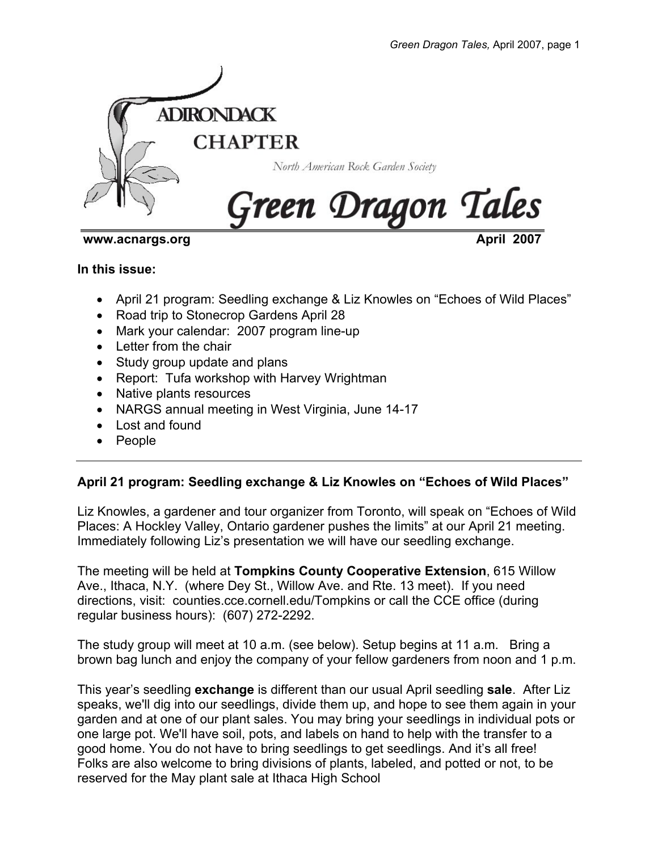

# **www.acnargs.org April 2007**

**In this issue:** 

- April 21 program: Seedling exchange & Liz Knowles on "Echoes of Wild Places"
- Road trip to Stonecrop Gardens April 28
- Mark your calendar: 2007 program line-up
- Letter from the chair
- Study group update and plans
- Report: Tufa workshop with Harvey Wrightman
- Native plants resources
- NARGS annual meeting in West Virginia, June 14-17
- Lost and found
- People

# **April 21 program: Seedling exchange & Liz Knowles on "Echoes of Wild Places"**

Liz Knowles, a gardener and tour organizer from Toronto, will speak on "Echoes of Wild Places: A Hockley Valley, Ontario gardener pushes the limits" at our April 21 meeting. Immediately following Liz's presentation we will have our seedling exchange.

The meeting will be held at **Tompkins County Cooperative Extension**, 615 Willow Ave., Ithaca, N.Y. (where Dey St., Willow Ave. and Rte. 13 meet). If you need directions, visit: counties.cce.cornell.edu/Tompkins or call the CCE office (during regular business hours): (607) 272-2292.

The study group will meet at 10 a.m. (see below). Setup begins at 11 a.m. Bring a brown bag lunch and enjoy the company of your fellow gardeners from noon and 1 p.m.

This year's seedling **exchange** is different than our usual April seedling **sale**. After Liz speaks, we'll dig into our seedlings, divide them up, and hope to see them again in your garden and at one of our plant sales. You may bring your seedlings in individual pots or one large pot. We'll have soil, pots, and labels on hand to help with the transfer to a good home. You do not have to bring seedlings to get seedlings. And it's all free! Folks are also welcome to bring divisions of plants, labeled, and potted or not, to be reserved for the May plant sale at Ithaca High School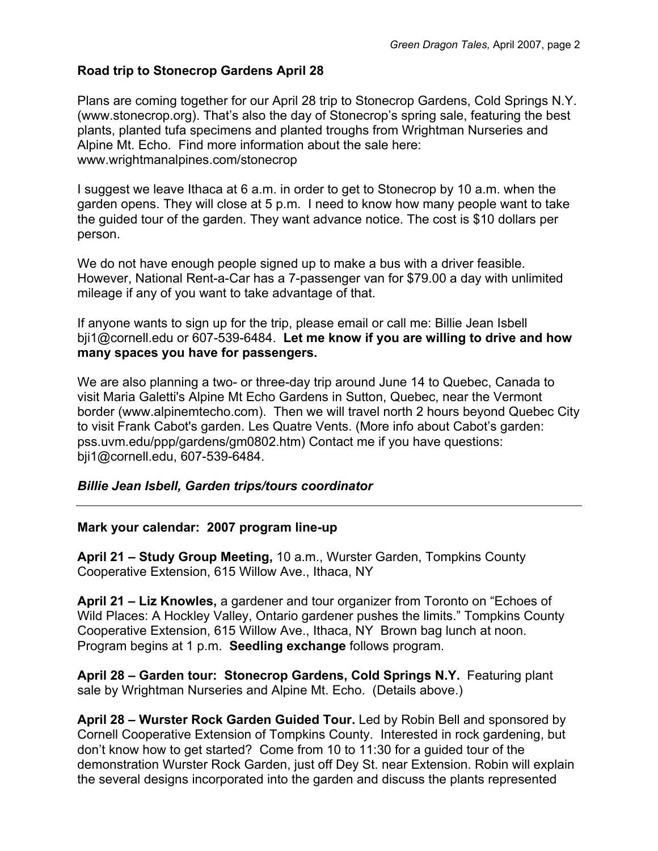# **Road trip to Stonecrop Gardens April 28**

Plans are coming together for our April 28 trip to Stonecrop Gardens, Cold Springs N.Y. (www.stonecrop.org). That's also the day of Stonecrop's spring sale, featuring the best plants, planted tufa specimens and planted troughs from Wrightman Nurseries and Alpine Mt. Echo. Find more information about the sale here: www.wrightmanalpines.com/stonecrop

I suggest we leave Ithaca at 6 a.m. in order to get to Stonecrop by 10 a.m. when the garden opens. They will close at 5 p.m. I need to know how many people want to take the guided tour of the garden. They want advance notice. The cost is \$10 dollars per person.

We do not have enough people signed up to make a bus with a driver feasible. However, National Rent-a-Car has a 7-passenger van for \$79.00 a day with unlimited mileage if any of you want to take advantage of that.

If anyone wants to sign up for the trip, please email or call me: Billie Jean Isbell bji1@cornell.edu or 607-539-6484. **Let me know if you are willing to drive and how many spaces you have for passengers.**

We are also planning a two- or three-day trip around June 14 to Quebec, Canada to visit Maria Galetti's Alpine Mt Echo Gardens in Sutton, Quebec, near the Vermont border (www.alpinemtecho.com). Then we will travel north 2 hours beyond Quebec City to visit Frank Cabot's garden. Les Quatre Vents. (More info about Cabot's garden: pss.uvm.edu/ppp/gardens/gm0802.htm) Contact me if you have questions: bji1@cornell.edu, 607-539-6484.

# *Billie Jean Isbell, Garden trips/tours coordinator*

## **Mark your calendar: 2007 program line-up**

**April 21 – Study Group Meeting,** 10 a.m., Wurster Garden, Tompkins County Cooperative Extension, 615 Willow Ave., Ithaca, NY

**April 21 – Liz Knowles,** a gardener and tour organizer from Toronto on "Echoes of Wild Places: A Hockley Valley, Ontario gardener pushes the limits." Tompkins County Cooperative Extension, 615 Willow Ave., Ithaca, NY Brown bag lunch at noon. Program begins at 1 p.m. **Seedling exchange** follows program.

**April 28 – Garden tour: Stonecrop Gardens, Cold Springs N.Y.** Featuring plant sale by Wrightman Nurseries and Alpine Mt. Echo. (Details above.)

**April 28 – Wurster Rock Garden Guided Tour.** Led by Robin Bell and sponsored by Cornell Cooperative Extension of Tompkins County. Interested in rock gardening, but don't know how to get started? Come from 10 to 11:30 for a guided tour of the demonstration Wurster Rock Garden, just off Dey St. near Extension. Robin will explain the several designs incorporated into the garden and discuss the plants represented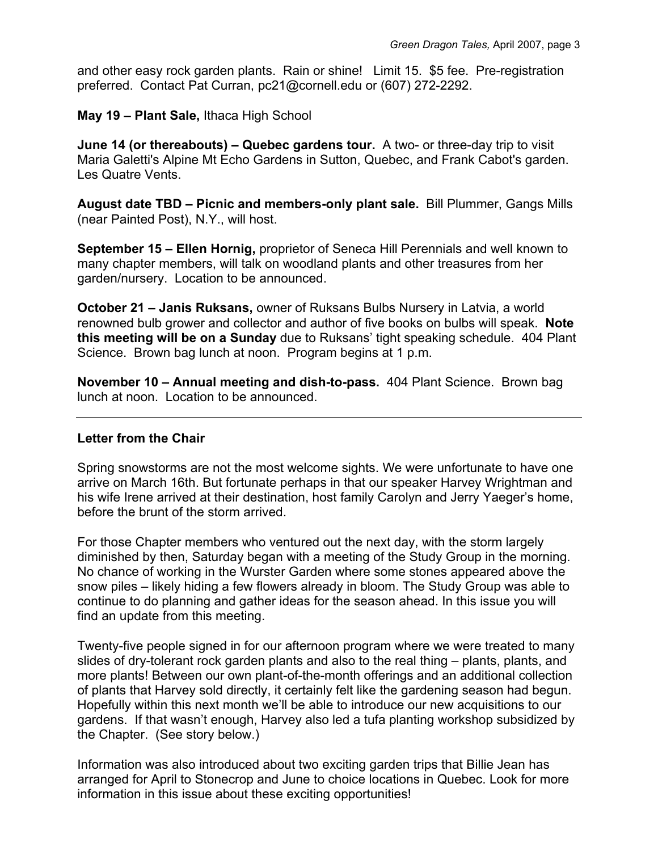and other easy rock garden plants. Rain or shine! Limit 15. \$5 fee. Pre-registration preferred. Contact Pat Curran, pc21@cornell.edu or (607) 272-2292.

**May 19 – Plant Sale,** Ithaca High School

**June 14 (or thereabouts) – Quebec gardens tour.** A two- or three-day trip to visit Maria Galetti's Alpine Mt Echo Gardens in Sutton, Quebec, and Frank Cabot's garden. Les Quatre Vents.

**August date TBD – Picnic and members-only plant sale.** Bill Plummer, Gangs Mills (near Painted Post), N.Y., will host.

**September 15 – Ellen Hornig,** proprietor of Seneca Hill Perennials and well known to many chapter members, will talk on woodland plants and other treasures from her garden/nursery. Location to be announced.

**October 21 – Janis Ruksans,** owner of Ruksans Bulbs Nursery in Latvia, a world renowned bulb grower and collector and author of five books on bulbs will speak. **Note this meeting will be on a Sunday** due to Ruksans' tight speaking schedule. 404 Plant Science. Brown bag lunch at noon. Program begins at 1 p.m.

**November 10 – Annual meeting and dish-to-pass.** 404 Plant Science. Brown bag lunch at noon. Location to be announced.

# **Letter from the Chair**

Spring snowstorms are not the most welcome sights. We were unfortunate to have one arrive on March 16th. But fortunate perhaps in that our speaker Harvey Wrightman and his wife Irene arrived at their destination, host family Carolyn and Jerry Yaeger's home, before the brunt of the storm arrived.

For those Chapter members who ventured out the next day, with the storm largely diminished by then, Saturday began with a meeting of the Study Group in the morning. No chance of working in the Wurster Garden where some stones appeared above the snow piles – likely hiding a few flowers already in bloom. The Study Group was able to continue to do planning and gather ideas for the season ahead. In this issue you will find an update from this meeting.

Twenty-five people signed in for our afternoon program where we were treated to many slides of dry-tolerant rock garden plants and also to the real thing – plants, plants, and more plants! Between our own plant-of-the-month offerings and an additional collection of plants that Harvey sold directly, it certainly felt like the gardening season had begun. Hopefully within this next month we'll be able to introduce our new acquisitions to our gardens. If that wasn't enough, Harvey also led a tufa planting workshop subsidized by the Chapter. (See story below.)

Information was also introduced about two exciting garden trips that Billie Jean has arranged for April to Stonecrop and June to choice locations in Quebec. Look for more information in this issue about these exciting opportunities!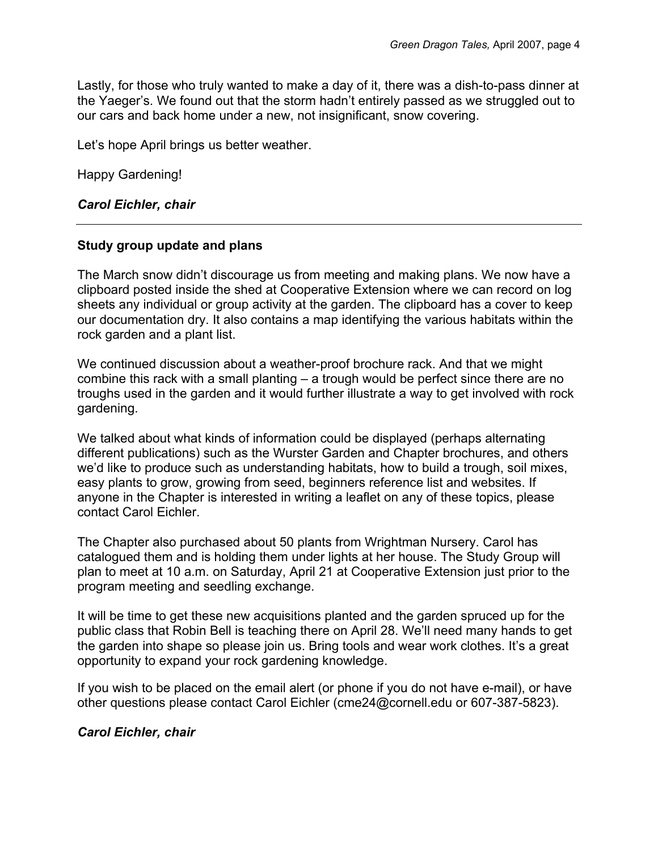Lastly, for those who truly wanted to make a day of it, there was a dish-to-pass dinner at the Yaeger's. We found out that the storm hadn't entirely passed as we struggled out to our cars and back home under a new, not insignificant, snow covering.

Let's hope April brings us better weather.

Happy Gardening!

# *Carol Eichler, chair*

# **Study group update and plans**

The March snow didn't discourage us from meeting and making plans. We now have a clipboard posted inside the shed at Cooperative Extension where we can record on log sheets any individual or group activity at the garden. The clipboard has a cover to keep our documentation dry. It also contains a map identifying the various habitats within the rock garden and a plant list.

We continued discussion about a weather-proof brochure rack. And that we might combine this rack with a small planting – a trough would be perfect since there are no troughs used in the garden and it would further illustrate a way to get involved with rock gardening.

We talked about what kinds of information could be displayed (perhaps alternating different publications) such as the Wurster Garden and Chapter brochures, and others we'd like to produce such as understanding habitats, how to build a trough, soil mixes, easy plants to grow, growing from seed, beginners reference list and websites. If anyone in the Chapter is interested in writing a leaflet on any of these topics, please contact Carol Eichler.

The Chapter also purchased about 50 plants from Wrightman Nursery. Carol has catalogued them and is holding them under lights at her house. The Study Group will plan to meet at 10 a.m. on Saturday, April 21 at Cooperative Extension just prior to the program meeting and seedling exchange.

It will be time to get these new acquisitions planted and the garden spruced up for the public class that Robin Bell is teaching there on April 28. We'll need many hands to get the garden into shape so please join us. Bring tools and wear work clothes. It's a great opportunity to expand your rock gardening knowledge.

If you wish to be placed on the email alert (or phone if you do not have e-mail), or have other questions please contact Carol Eichler (cme24@cornell.edu or 607-387-5823).

# *Carol Eichler, chair*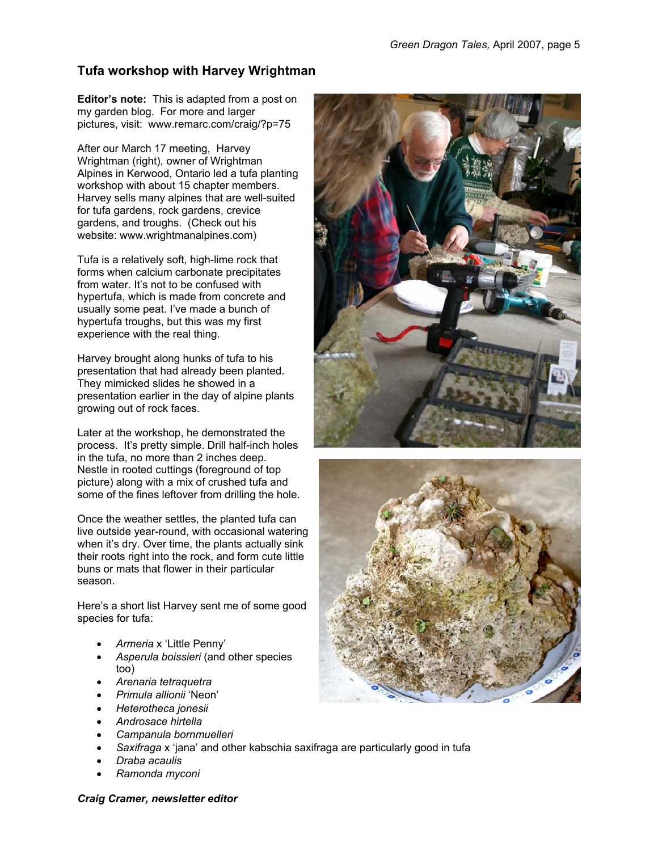# **Tufa workshop with Harvey Wrightman**

**Editor's note:** This is adapted from a post on my garden blog. For more and larger pictures, visit: www.remarc.com/craig/?p=75

After our March 17 meeting, Harvey Wrightman (right), owner of Wrightman Alpines in Kerwood, Ontario led a tufa planting workshop with about 15 chapter members. Harvey sells many alpines that are well-suited for tufa gardens, rock gardens, crevice gardens, and troughs. (Check out his website: www.wrightmanalpines.com)

Tufa is a relatively soft, high-lime rock that forms when calcium carbonate precipitates from water. It's not to be confused with hypertufa, which is made from concrete and usually some peat. I've made a bunch of hypertufa troughs, but this was my first experience with the real thing.

Harvey brought along hunks of tufa to his presentation that had already been planted. They mimicked slides he showed in a presentation earlier in the day of alpine plants growing out of rock faces.

Later at the workshop, he demonstrated the process. It's pretty simple. Drill half-inch holes in the tufa, no more than 2 inches deep. Nestle in rooted cuttings (foreground of top picture) along with a mix of crushed tufa and some of the fines leftover from drilling the hole.

Once the weather settles, the planted tufa can live outside year-round, with occasional watering when it's dry. Over time, the plants actually sink their roots right into the rock, and form cute little buns or mats that flower in their particular season.

Here's a short list Harvey sent me of some good species for tufa:

- *Armeria* x 'Little Penny'
- *Asperula boissieri* (and other species too)
- *Arenaria tetraquetra*
- *Primula allionii* 'Neon'
- *Heterotheca jonesii*
- *Androsace hirtella*
- *Campanula bornmuelleri*
- *Saxifraga* x 'jana' and other kabschia saxifraga are particularly good in tufa
- *Draba acaulis*
- *Ramonda myconi*





#### *Craig Cramer, newsletter editor*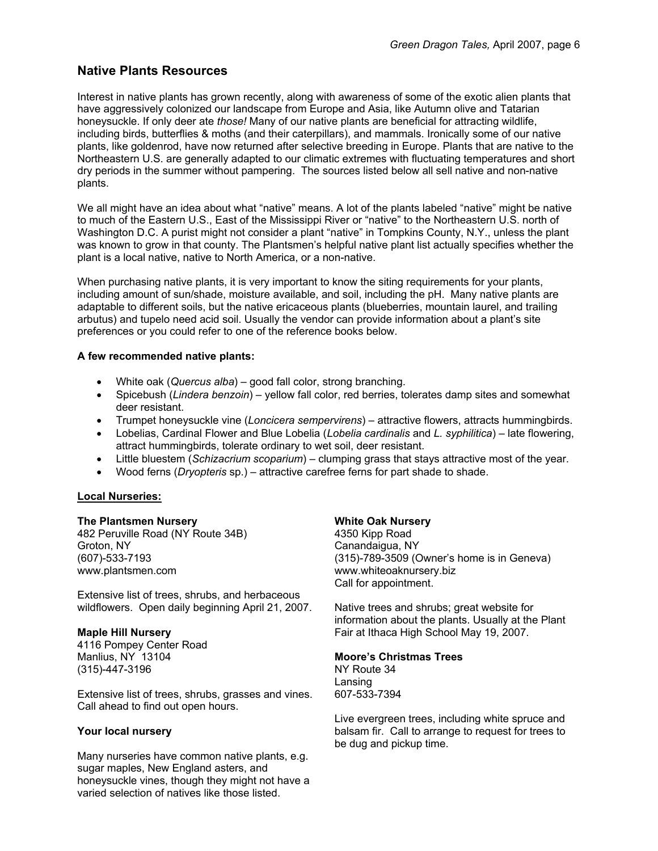# **Native Plants Resources**

Interest in native plants has grown recently, along with awareness of some of the exotic alien plants that have aggressively colonized our landscape from Europe and Asia, like Autumn olive and Tatarian honeysuckle. If only deer ate *those!* Many of our native plants are beneficial for attracting wildlife, including birds, butterflies & moths (and their caterpillars), and mammals. Ironically some of our native plants, like goldenrod, have now returned after selective breeding in Europe. Plants that are native to the Northeastern U.S. are generally adapted to our climatic extremes with fluctuating temperatures and short dry periods in the summer without pampering. The sources listed below all sell native and non-native plants.

We all might have an idea about what "native" means. A lot of the plants labeled "native" might be native to much of the Eastern U.S., East of the Mississippi River or "native" to the Northeastern U.S. north of Washington D.C. A purist might not consider a plant "native" in Tompkins County, N.Y., unless the plant was known to grow in that county. The Plantsmen's helpful native plant list actually specifies whether the plant is a local native, native to North America, or a non-native.

When purchasing native plants, it is very important to know the siting requirements for your plants, including amount of sun/shade, moisture available, and soil, including the pH. Many native plants are adaptable to different soils, but the native ericaceous plants (blueberries, mountain laurel, and trailing arbutus) and tupelo need acid soil. Usually the vendor can provide information about a plant's site preferences or you could refer to one of the reference books below.

## **A few recommended native plants:**

- White oak (*Quercus alba*) good fall color, strong branching.
- Spicebush (*Lindera benzoin*) yellow fall color, red berries, tolerates damp sites and somewhat deer resistant.
- Trumpet honeysuckle vine (*Loncicera sempervirens*) attractive flowers, attracts hummingbirds.
- Lobelias, Cardinal Flower and Blue Lobelia (*Lobelia cardinalis* and *L. syphilitica*) late flowering, attract hummingbirds, tolerate ordinary to wet soil, deer resistant.
- Little bluestem (*Schizacrium scoparium*) clumping grass that stays attractive most of the year.
- Wood ferns (*Dryopteris* sp.) attractive carefree ferns for part shade to shade.

#### **Local Nurseries:**

#### **The Plantsmen Nursery**

482 Peruville Road (NY Route 34B) Groton, NY (607)-533-7193 www.plantsmen.com

Extensive list of trees, shrubs, and herbaceous wildflowers. Open daily beginning April 21, 2007.

#### **Maple Hill Nursery**

4116 Pompey Center Road Manlius, NY 13104 (315)-447-3196

Extensive list of trees, shrubs, grasses and vines. Call ahead to find out open hours.

## **Your local nursery**

Many nurseries have common native plants, e.g. sugar maples, New England asters, and honeysuckle vines, though they might not have a varied selection of natives like those listed.

## **White Oak Nursery**

4350 Kipp Road Canandaigua, NY (315)-789-3509 (Owner's home is in Geneva) www.whiteoaknursery.biz Call for appointment.

Native trees and shrubs; great website for information about the plants. Usually at the Plant Fair at Ithaca High School May 19, 2007.

## **Moore's Christmas Trees**

NY Route 34 Lansing 607-533-7394

Live evergreen trees, including white spruce and balsam fir. Call to arrange to request for trees to be dug and pickup time.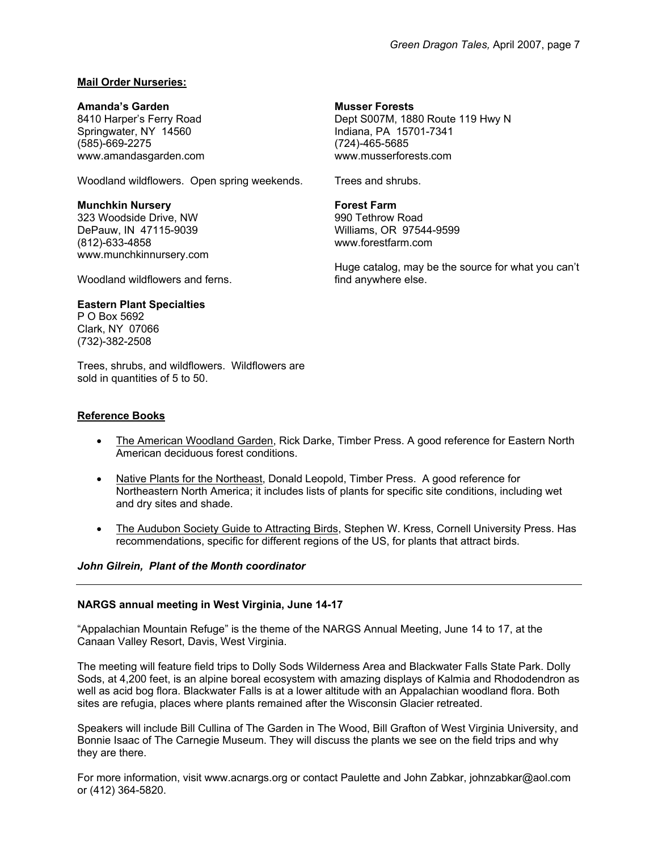## **Mail Order Nurseries:**

#### **Amanda's Garden**

8410 Harper's Ferry Road Springwater, NY 14560 (585)-669-2275 www.amandasgarden.com

Woodland wildflowers. Open spring weekends.

#### **Munchkin Nursery**

323 Woodside Drive, NW DePauw, IN 47115-9039 (812)-633-4858 www.munchkinnursery.com

Woodland wildflowers and ferns.

## **Eastern Plant Specialties**

P O Box 5692 Clark, NY 07066 (732)-382-2508

Trees, shrubs, and wildflowers. Wildflowers are sold in quantities of 5 to 50.

#### **Reference Books**

- The American Woodland Garden, Rick Darke, Timber Press. A good reference for Eastern North American deciduous forest conditions.
- Native Plants for the Northeast, Donald Leopold, Timber Press. A good reference for Northeastern North America; it includes lists of plants for specific site conditions, including wet and dry sites and shade.
- The Audubon Society Guide to Attracting Birds, Stephen W. Kress, Cornell University Press. Has recommendations, specific for different regions of the US, for plants that attract birds.

#### *John Gilrein, Plant of the Month coordinator*

#### **NARGS annual meeting in West Virginia, June 14-17**

"Appalachian Mountain Refuge" is the theme of the NARGS Annual Meeting, June 14 to 17, at the Canaan Valley Resort, Davis, West Virginia.

The meeting will feature field trips to Dolly Sods Wilderness Area and Blackwater Falls State Park. Dolly Sods, at 4,200 feet, is an alpine boreal ecosystem with amazing displays of Kalmia and Rhododendron as well as acid bog flora. Blackwater Falls is at a lower altitude with an Appalachian woodland flora. Both sites are refugia, places where plants remained after the Wisconsin Glacier retreated.

Speakers will include Bill Cullina of The Garden in The Wood, Bill Grafton of West Virginia University, and Bonnie Isaac of The Carnegie Museum. They will discuss the plants we see on the field trips and why they are there.

For more information, visit www.acnargs.org or contact Paulette and John Zabkar, johnzabkar@aol.com or (412) 364-5820.

## **Musser Forests**

Dept S007M, 1880 Route 119 Hwy N Indiana, PA 15701-7341 (724)-465-5685 www.musserforests.com

Trees and shrubs.

#### **Forest Farm**

990 Tethrow Road Williams, OR 97544-9599 www.forestfarm.com

Huge catalog, may be the source for what you can't find anywhere else.